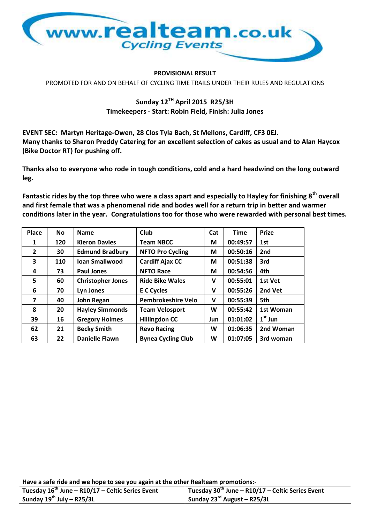

## **PROVISIONAL RESULT**

PROMOTED FOR AND ON BEHALF OF CYCLING TIME TRAILS UNDER THEIR RULES AND REGULATIONS

## **Sunday 12TH April 2015 R25/3H Timekeepers - Start: Robin Field, Finish: Julia Jones**

**EVENT SEC: Martyn Heritage-Owen, 28 Clos Tyla Bach, St Mellons, Cardiff, CF3 0EJ. Many thanks to Sharon Preddy Catering for an excellent selection of cakes as usual and to Alan Haycox (Bike Doctor RT) for pushing off.**

**Thanks also to everyone who rode in tough conditions, cold and a hard headwind on the long outward leg.**

**Fantastic rides by the top three who were a class apart and especially to Hayley for finishing 8th overall and first female that was a phenomenal ride and bodes well for a return trip in better and warmer conditions later in the year. Congratulations too for those who were rewarded with personal best times.**

| Place          | <b>No</b> | <b>Name</b>              | <b>Club</b>               | Cat | <b>Time</b> | <b>Prize</b> |
|----------------|-----------|--------------------------|---------------------------|-----|-------------|--------------|
| 1              | 120       | <b>Kieron Davies</b>     | <b>Team NBCC</b>          | M   | 00:49:57    | 1st          |
| $\overline{2}$ | 30        | <b>Edmund Bradbury</b>   | <b>NFTO Pro Cycling</b>   | М   | 00:50:16    | 2nd          |
| 3              | 110       | <b>Ioan Smallwood</b>    | <b>Cardiff Ajax CC</b>    | М   | 00:51:38    | 3rd          |
| 4              | 73        | <b>Paul Jones</b>        | <b>NFTO Race</b>          | М   | 00:54:56    | 4th          |
| 5              | 60        | <b>Christopher Jones</b> | <b>Ride Bike Wales</b>    | v   | 00:55:01    | 1st Vet      |
| 6              | 70        | Lyn Jones                | <b>E C Cycles</b>         | v   | 00:55:26    | 2nd Vet      |
| 7              | 40        | John Regan               | <b>Pembrokeshire Velo</b> | v   | 00:55:39    | 5th          |
| 8              | 20        | <b>Hayley Simmonds</b>   | <b>Team Velosport</b>     | W   | 00:55:42    | 1st Woman    |
| 39             | 16        | <b>Gregory Holmes</b>    | <b>Hillingdon CC</b>      | Jun | 01:01:02    | $1st$ Jun    |
| 62             | 21        | <b>Becky Smith</b>       | <b>Revo Racing</b>        | W   | 01:06:35    | 2nd Woman    |
| 63             | 22        | <b>Danielle Flawn</b>    | <b>Bynea Cycling Club</b> | W   | 01:07:05    | 3rd woman    |

| Tuesday $16^{th}$ June – R10/17 – Celtic Series Event | Tuesday 30 <sup>th</sup> June – R10/17 – Celtic Series Event |
|-------------------------------------------------------|--------------------------------------------------------------|
| Sunday $19^{th}$ July - R25/3L                        | <sup>1</sup> Sunday 23 <sup>rd</sup> August – R25/3L         |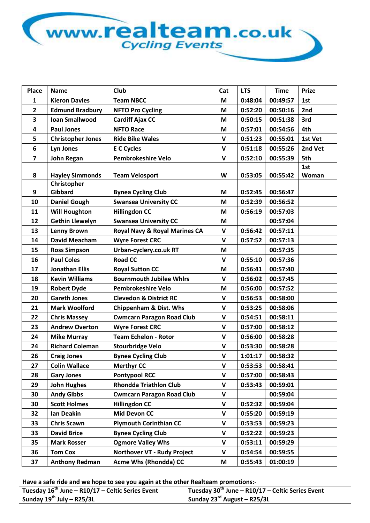

| Place                   | <b>Name</b>              | Club                                     | Cat          | <b>LTS</b> | <b>Time</b> | <b>Prize</b> |
|-------------------------|--------------------------|------------------------------------------|--------------|------------|-------------|--------------|
| 1                       | <b>Kieron Davies</b>     | <b>Team NBCC</b>                         | M            | 0:48:04    | 00:49:57    | 1st          |
| $\overline{2}$          | <b>Edmund Bradbury</b>   | <b>NFTO Pro Cycling</b>                  | M            | 0:52:20    | 00:50:16    | 2nd          |
| 3                       | <b>Ioan Smallwood</b>    | <b>Cardiff Ajax CC</b>                   | M            | 0:50:15    | 00:51:38    | 3rd          |
| $\overline{\mathbf{4}}$ | <b>Paul Jones</b>        | <b>NFTO Race</b>                         | M            | 0:57:01    | 00:54:56    | 4th          |
| 5                       | <b>Christopher Jones</b> | <b>Ride Bike Wales</b>                   | $\mathbf v$  | 0:51:23    | 00:55:01    | 1st Vet      |
| 6                       | <b>Lyn Jones</b>         | <b>E</b> C Cycles                        | $\mathsf{V}$ | 0:51:18    | 00:55:26    | 2nd Vet      |
| $\overline{7}$          | <b>John Regan</b>        | <b>Pembrokeshire Velo</b>                | $\mathbf v$  | 0:52:10    | 00:55:39    | 5th          |
|                         |                          |                                          |              |            |             | 1st          |
| 8                       | <b>Hayley Simmonds</b>   | <b>Team Velosport</b>                    | W            | 0:53:05    | 00:55:42    | Woman        |
|                         | Christopher              |                                          |              |            |             |              |
| 9                       | Gibbard                  | <b>Bynea Cycling Club</b>                | M            | 0:52:45    | 00:56:47    |              |
| 10                      | <b>Daniel Gough</b>      | <b>Swansea University CC</b>             | M            | 0:52:39    | 00:56:52    |              |
| 11                      | <b>Will Houghton</b>     | <b>Hillingdon CC</b>                     | M            | 0:56:19    | 00:57:03    |              |
| 12                      | <b>Gethin Llewelyn</b>   | <b>Swansea University CC</b>             | M            |            | 00:57:04    |              |
| 13                      | <b>Lenny Brown</b>       | <b>Royal Navy &amp; Royal Marines CA</b> | $\mathsf{V}$ | 0:56:42    | 00:57:11    |              |
| 14                      | <b>David Meacham</b>     | <b>Wyre Forest CRC</b>                   | $\mathbf{V}$ | 0:57:52    | 00:57:13    |              |
| 15                      | <b>Ross Simpson</b>      | Urban-cyclery.co.uk RT                   | M            |            | 00:57:35    |              |
| 16                      | <b>Paul Coles</b>        | <b>Road CC</b>                           | $\mathbf v$  | 0:55:10    | 00:57:36    |              |
| 17                      | <b>Jonathan Ellis</b>    | <b>Royal Sutton CC</b>                   | M            | 0:56:41    | 00:57:40    |              |
| 18                      | <b>Kevin Williams</b>    | <b>Bournmouth Jubilee Whirs</b>          | $\mathbf v$  | 0:56:02    | 00:57:45    |              |
| 19                      | <b>Robert Dyde</b>       | <b>Pembrokeshire Velo</b>                | M            | 0:56:00    | 00:57:52    |              |
| 20                      | <b>Gareth Jones</b>      | <b>Clevedon &amp; District RC</b>        | V            | 0:56:53    | 00:58:00    |              |
| 21                      | <b>Mark Woolford</b>     | <b>Chippenham &amp; Dist. Whs</b>        | $\mathbf v$  | 0:53:25    | 00:58:06    |              |
| 22                      | <b>Chris Massey</b>      | <b>Cwmcarn Paragon Road Club</b>         | $\mathbf v$  | 0:54:51    | 00:58:11    |              |
| 23                      | <b>Andrew Overton</b>    | <b>Wyre Forest CRC</b>                   | $\mathbf v$  | 0:57:00    | 00:58:12    |              |
| 24                      | <b>Mike Murray</b>       | <b>Team Echelon - Rotor</b>              | $\mathbf v$  | 0:56:00    | 00:58:28    |              |
| 24                      | <b>Richard Coleman</b>   | <b>Stourbridge Velo</b>                  | $\mathbf v$  | 0:53:30    | 00:58:28    |              |
| 26                      | <b>Craig Jones</b>       | <b>Bynea Cycling Club</b>                | $\mathbf v$  | 1:01:17    | 00:58:32    |              |
| 27                      | <b>Colin Wallace</b>     | <b>Merthyr CC</b>                        | V            | 0:53:53    | 00:58:41    |              |
| 28                      | <b>Gary Jones</b>        | <b>Pontypool RCC</b>                     | $\mathbf v$  | 0:57:00    | 00:58:43    |              |
| 29                      | <b>John Hughes</b>       | <b>Rhondda Triathlon Club</b>            | $\mathsf{v}$ | 0:53:43    | 00:59:01    |              |
| 30                      | <b>Andy Gibbs</b>        | <b>Cwmcarn Paragon Road Club</b>         | V            |            | 00:59:04    |              |
| 30                      | <b>Scott Holmes</b>      | <b>Hillingdon CC</b>                     | $\mathbf v$  | 0:52:32    | 00:59:04    |              |
| 32                      | Ian Deakin               | Mid Devon CC                             | V            | 0:55:20    | 00:59:19    |              |
| 33                      | <b>Chris Scawn</b>       | <b>Plymouth Corinthian CC</b>            | $\mathbf v$  | 0:53:53    | 00:59:23    |              |
| 33                      | <b>David Brice</b>       | <b>Bynea Cycling Club</b>                | V            | 0:52:22    | 00:59:23    |              |
| 35                      | <b>Mark Rosser</b>       | <b>Ogmore Valley Whs</b>                 | $\mathsf{v}$ | 0:53:11    | 00:59:29    |              |
| 36                      | <b>Tom Cox</b>           | Northover VT - Rudy Project              | V            | 0:54:54    | 00:59:55    |              |
| 37                      | <b>Anthony Redman</b>    | <b>Acme Whs (Rhondda) CC</b>             | M            | 0:55:43    | 01:00:19    |              |

| Tuesday $16^{th}$ June – R10/17 – Celtic Series Event | Tuesday 30 <sup>th</sup> June – R10/17 – Celtic Series Event |
|-------------------------------------------------------|--------------------------------------------------------------|
| Sunday $19^{th}$ July - R25/3L                        | Sunday 23 <sup>rd</sup> August - R25/3L                      |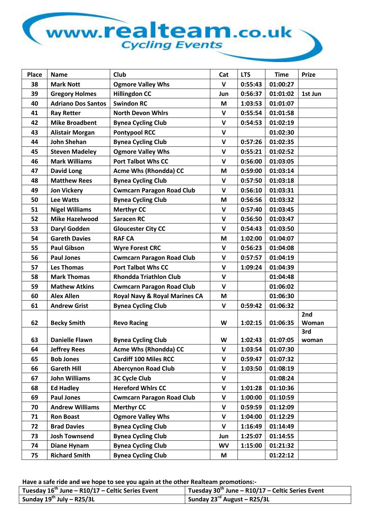## www.realteam.co.uk

| <b>Place</b> | <b>Name</b>               | <b>Club</b>                      | Cat              | <b>LTS</b> | <b>Time</b> | <b>Prize</b> |
|--------------|---------------------------|----------------------------------|------------------|------------|-------------|--------------|
| 38           | <b>Mark Nott</b>          | <b>Ogmore Valley Whs</b>         | $\mathbf v$      | 0:55:43    | 01:00:27    |              |
| 39           | <b>Gregory Holmes</b>     | <b>Hillingdon CC</b>             | Jun              | 0:56:37    | 01:01:02    | 1st Jun      |
| 40           | <b>Adriano Dos Santos</b> | <b>Swindon RC</b>                | M                | 1:03:53    | 01:01:07    |              |
| 41           | <b>Ray Retter</b>         | <b>North Devon Whirs</b>         | $\mathbf v$      | 0:55:54    | 01:01:58    |              |
| 42           | <b>Mike Broadbent</b>     | <b>Bynea Cycling Club</b>        | V                | 0:54:53    | 01:02:19    |              |
| 43           | <b>Alistair Morgan</b>    | <b>Pontypool RCC</b>             | $\mathsf{V}$     |            | 01:02:30    |              |
| 44           | <b>John Shehan</b>        | <b>Bynea Cycling Club</b>        | $\mathbf v$      | 0:57:26    | 01:02:35    |              |
| 45           | <b>Steven Madeley</b>     | <b>Ogmore Valley Whs</b>         | $\mathsf{V}$     | 0:55:21    | 01:02:52    |              |
| 46           | <b>Mark Williams</b>      | <b>Port Talbot Whs CC</b>        | $\mathbf v$      | 0:56:00    | 01:03:05    |              |
| 47           | <b>David Long</b>         | <b>Acme Whs (Rhondda) CC</b>     | M                | 0:59:00    | 01:03:14    |              |
| 48           | <b>Matthew Rees</b>       | <b>Bynea Cycling Club</b>        | $\mathsf{V}$     | 0:57:50    | 01:03:18    |              |
| 49           | <b>Jon Vickery</b>        | <b>Cwmcarn Paragon Road Club</b> | V                | 0:56:10    | 01:03:31    |              |
| 50           | Lee Watts                 | <b>Bynea Cycling Club</b>        | M                | 0:56:56    | 01:03:32    |              |
| 51           | <b>Nigel Williams</b>     | <b>Merthyr CC</b>                | $\mathbf v$      | 0:57:40    | 01:03:45    |              |
| 52           | <b>Mike Hazelwood</b>     | <b>Saracen RC</b>                | $\mathbf v$      | 0:56:50    | 01:03:47    |              |
| 53           | Daryl Godden              | <b>Gloucester City CC</b>        | $\mathbf v$      | 0:54:43    | 01:03:50    |              |
| 54           | <b>Gareth Davies</b>      | <b>RAF CA</b>                    | M                | 1:02:00    | 01:04:07    |              |
| 55           | <b>Paul Gibson</b>        | <b>Wyre Forest CRC</b>           | $\mathbf v$      | 0:56:23    | 01:04:08    |              |
| 56           | <b>Paul Jones</b>         | <b>Cwmcarn Paragon Road Club</b> | V                | 0:57:57    | 01:04:19    |              |
| 57           | <b>Les Thomas</b>         | <b>Port Talbot Whs CC</b>        | $\mathsf{V}$     | 1:09:24    | 01:04:39    |              |
| 58           | <b>Mark Thomas</b>        | <b>Rhondda Triathlon Club</b>    | $\mathbf v$      |            | 01:04:48    |              |
| 59           | <b>Mathew Atkins</b>      | <b>Cwmcarn Paragon Road Club</b> | $\mathsf{V}$     |            | 01:06:02    |              |
| 60           | <b>Alex Allen</b>         | Royal Navy & Royal Marines CA    | M                |            | 01:06:30    |              |
| 61           | <b>Andrew Grist</b>       | <b>Bynea Cycling Club</b>        | $\mathbf v$      | 0:59:42    | 01:06:32    |              |
|              |                           |                                  |                  |            |             | 2nd          |
| 62           | <b>Becky Smith</b>        | <b>Revo Racing</b>               | W                | 1:02:15    | 01:06:35    | Woman        |
| 63           | <b>Danielle Flawn</b>     | <b>Bynea Cycling Club</b>        | W                | 1:02:43    | 01:07:05    | 3rd          |
| 64           | <b>Jeffrey Rees</b>       | <b>Acme Whs (Rhondda) CC</b>     |                  | 1:03:54    | 01:07:30    | woman        |
| 65           | <b>Bob Jones</b>          | <b>Cardiff 100 Miles RCC</b>     | V<br>$\mathbf v$ | 0:59:47    | 01:07:32    |              |
| 66           | <b>Gareth Hill</b>        | <b>Abercynon Road Club</b>       | V                | 1:03:50    | 01:08:19    |              |
| 67           | John Williams             | <b>3C Cycle Club</b>             | $\mathbf v$      |            | 01:08:24    |              |
| 68           | <b>Ed Hadley</b>          | <b>Hereford Whirs CC</b>         | $\mathsf{v}$     | 1:01:28    | 01:10:36    |              |
| 69           | <b>Paul Jones</b>         | <b>Cwmcarn Paragon Road Club</b> | $\mathsf{V}$     | 1:00:00    | 01:10:59    |              |
| 70           | <b>Andrew Williams</b>    | <b>Merthyr CC</b>                | $\mathsf{v}$     | 0:59:59    | 01:12:09    |              |
|              |                           |                                  |                  |            |             |              |
| 71           | <b>Ron Boast</b>          | <b>Ogmore Valley Whs</b>         | V                | 1:04:00    | 01:12:29    |              |
| 72           | <b>Brad Davies</b>        | <b>Bynea Cycling Club</b>        | $\mathsf{V}$     | 1:16:49    | 01:14:49    |              |
| 73           | <b>Josh Townsend</b>      | <b>Bynea Cycling Club</b>        | Jun              | 1:25:07    | 01:14:55    |              |
| 74           | <b>Diane Hynam</b>        | <b>Bynea Cycling Club</b>        | <b>WV</b>        | 1:15:00    | 01:21:32    |              |
| 75           | <b>Richard Smith</b>      | <b>Bynea Cycling Club</b>        | M                |            | 01:22:12    |              |

| Tuesday $16^{th}$ June – R10/17 – Celtic Series Event | Tuesday 30 <sup>th</sup> June – R10/17 – Celtic Series Event |
|-------------------------------------------------------|--------------------------------------------------------------|
| Sunday $19^{th}$ July – R25/3L                        | Sunday 23 <sup>rd</sup> August – R25/3L                      |